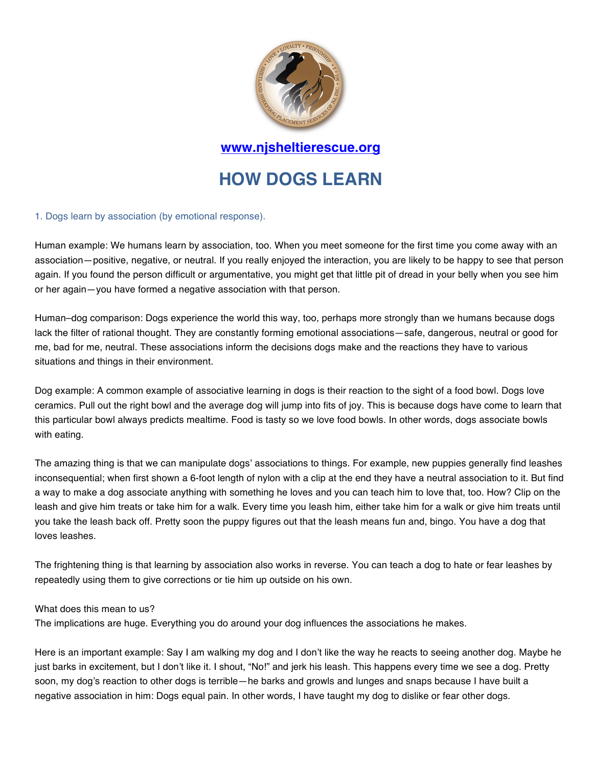

**www.njsheltierescue.org**

# **HOW DOGS LEARN**

#### 1. Dogs learn by association (by emotional response).

Human example: We humans learn by association, too. When you meet someone for the first time you come away with an association—positive, negative, or neutral. If you really enjoyed the interaction, you are likely to be happy to see that person again. If you found the person difficult or argumentative, you might get that little pit of dread in your belly when you see him or her again—you have formed a negative association with that person.

Human–dog comparison: Dogs experience the world this way, too, perhaps more strongly than we humans because dogs lack the filter of rational thought. They are constantly forming emotional associations—safe, dangerous, neutral or good for me, bad for me, neutral. These associations inform the decisions dogs make and the reactions they have to various situations and things in their environment.

Dog example: A common example of associative learning in dogs is their reaction to the sight of a food bowl. Dogs love ceramics. Pull out the right bowl and the average dog will jump into fits of joy. This is because dogs have come to learn that this particular bowl always predicts mealtime. Food is tasty so we love food bowls. In other words, dogs associate bowls with eating.

The amazing thing is that we can manipulate dogs' associations to things. For example, new puppies generally find leashes inconsequential; when first shown a 6-foot length of nylon with a clip at the end they have a neutral association to it. But find a way to make a dog associate anything with something he loves and you can teach him to love that, too. How? Clip on the leash and give him treats or take him for a walk. Every time you leash him, either take him for a walk or give him treats until you take the leash back off. Pretty soon the puppy figures out that the leash means fun and, bingo. You have a dog that loves leashes.

The frightening thing is that learning by association also works in reverse. You can teach a dog to hate or fear leashes by repeatedly using them to give corrections or tie him up outside on his own.

#### What does this mean to us?

The implications are huge. Everything you do around your dog influences the associations he makes.

Here is an important example: Say I am walking my dog and I don't like the way he reacts to seeing another dog. Maybe he just barks in excitement, but I don't like it. I shout, "No!" and jerk his leash. This happens every time we see a dog. Pretty soon, my dog's reaction to other dogs is terrible—he barks and growls and lunges and snaps because I have built a negative association in him: Dogs equal pain. In other words, I have taught my dog to dislike or fear other dogs.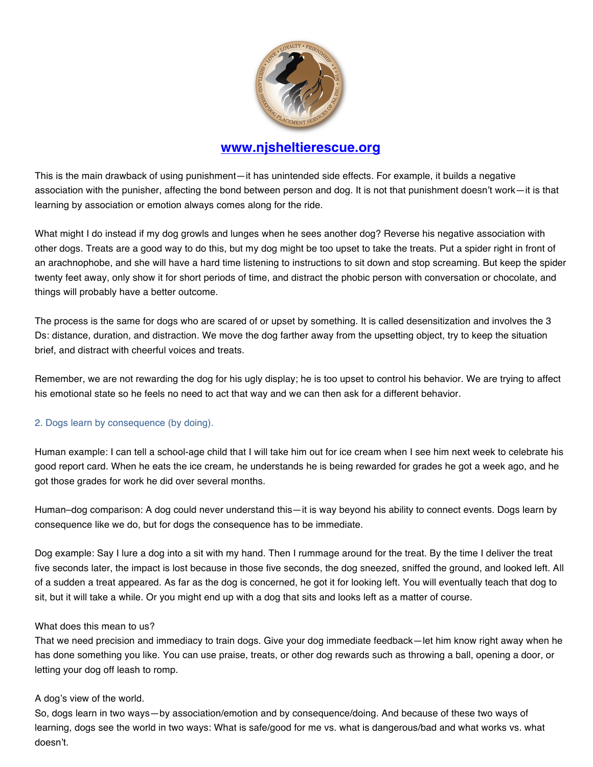

# **www.njsheltierescue.org**

This is the main drawback of using punishment—it has unintended side effects. For example, it builds a negative association with the punisher, affecting the bond between person and dog. It is not that punishment doesn't work—it is that learning by association or emotion always comes along for the ride.

What might I do instead if my dog growls and lunges when he sees another dog? Reverse his negative association with other dogs. Treats are a good way to do this, but my dog might be too upset to take the treats. Put a spider right in front of an arachnophobe, and she will have a hard time listening to instructions to sit down and stop screaming. But keep the spider twenty feet away, only show it for short periods of time, and distract the phobic person with conversation or chocolate, and things will probably have a better outcome.

The process is the same for dogs who are scared of or upset by something. It is called desensitization and involves the 3 Ds: distance, duration, and distraction. We move the dog farther away from the upsetting object, try to keep the situation brief, and distract with cheerful voices and treats.

Remember, we are not rewarding the dog for his ugly display; he is too upset to control his behavior. We are trying to affect his emotional state so he feels no need to act that way and we can then ask for a different behavior.

## 2. Dogs learn by consequence (by doing).

Human example: I can tell a school-age child that I will take him out for ice cream when I see him next week to celebrate his good report card. When he eats the ice cream, he understands he is being rewarded for grades he got a week ago, and he got those grades for work he did over several months.

Human–dog comparison: A dog could never understand this—it is way beyond his ability to connect events. Dogs learn by consequence like we do, but for dogs the consequence has to be immediate.

Dog example: Say I lure a dog into a sit with my hand. Then I rummage around for the treat. By the time I deliver the treat five seconds later, the impact is lost because in those five seconds, the dog sneezed, sniffed the ground, and looked left. All of a sudden a treat appeared. As far as the dog is concerned, he got it for looking left. You will eventually teach that dog to sit, but it will take a while. Or you might end up with a dog that sits and looks left as a matter of course.

## What does this mean to us?

That we need precision and immediacy to train dogs. Give your dog immediate feedback—let him know right away when he has done something you like. You can use praise, treats, or other dog rewards such as throwing a ball, opening a door, or letting your dog off leash to romp.

## A dog's view of the world.

So, dogs learn in two ways—by association/emotion and by consequence/doing. And because of these two ways of learning, dogs see the world in two ways: What is safe/good for me vs. what is dangerous/bad and what works vs. what doesn't.